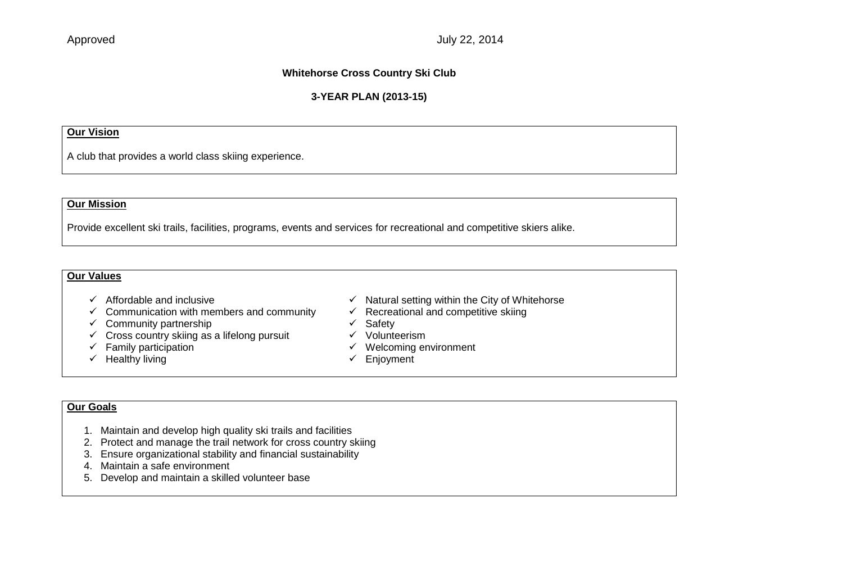## **Whitehorse Cross Country Ski Club**

## **3-YEAR PLAN (2013-15)**

### **Our Vision**

A club that provides a world class skiing experience.

## **Our Mission**

Provide excellent ski trails, facilities, programs, events and services for recreational and competitive skiers alike.

#### **Our Values**

- 
- $\checkmark$  Communication with members and community
- 
- $\checkmark$  Community partnership<br>  $\checkmark$  Cross country skiing as a lifelong pursuit  $\checkmark$  Volunteerism  $\checkmark$  Cross country skiing as a lifelong pursuit
- $\checkmark$  Family participation
- $\checkmark$  Healthy living
- $\checkmark$  Affordable and inclusive<br>  $\checkmark$  Communication with members and community  $\checkmark$  Recreational and competitive skiing
	-
	-
	-
	- $\checkmark$  Welcoming environment
	- $\checkmark$  Enjoyment

## **Our Goals**

- 1. Maintain and develop high quality ski trails and facilities
- 2. Protect and manage the trail network for cross country skiing
- 3. Ensure organizational stability and financial sustainability
- 4. Maintain a safe environment
- 5. Develop and maintain a skilled volunteer base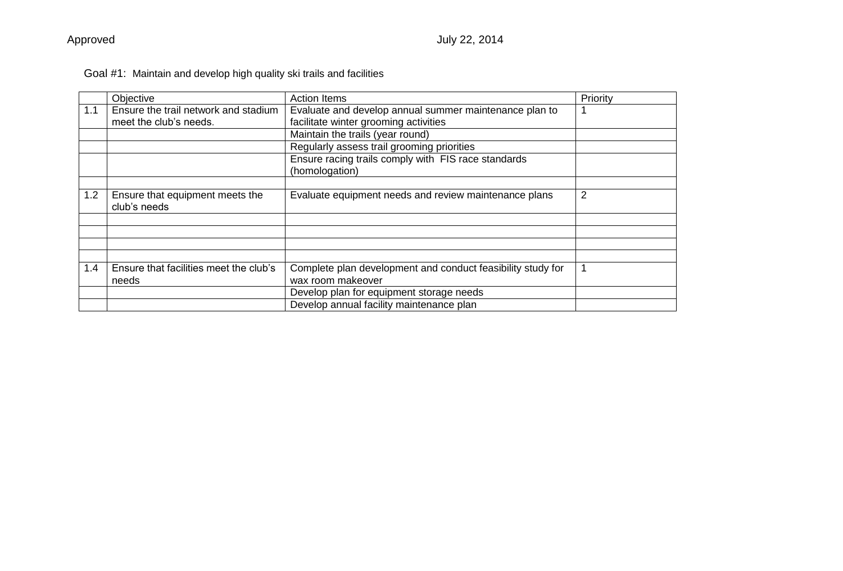|     | Objective                                       | <b>Action Items</b>                                         | Priority |
|-----|-------------------------------------------------|-------------------------------------------------------------|----------|
| 1.1 | Ensure the trail network and stadium            | Evaluate and develop annual summer maintenance plan to      |          |
|     | meet the club's needs.                          | facilitate winter grooming activities                       |          |
|     |                                                 | Maintain the trails (year round)                            |          |
|     |                                                 | Regularly assess trail grooming priorities                  |          |
|     |                                                 | Ensure racing trails comply with FIS race standards         |          |
|     |                                                 | (homologation)                                              |          |
|     |                                                 |                                                             |          |
| 1.2 | Ensure that equipment meets the<br>club's needs | Evaluate equipment needs and review maintenance plans       | 2        |
|     |                                                 |                                                             |          |
|     |                                                 |                                                             |          |
|     |                                                 |                                                             |          |
|     |                                                 |                                                             |          |
| 1.4 | Ensure that facilities meet the club's          | Complete plan development and conduct feasibility study for |          |
|     | needs                                           | wax room makeover                                           |          |
|     |                                                 | Develop plan for equipment storage needs                    |          |
|     |                                                 | Develop annual facility maintenance plan                    |          |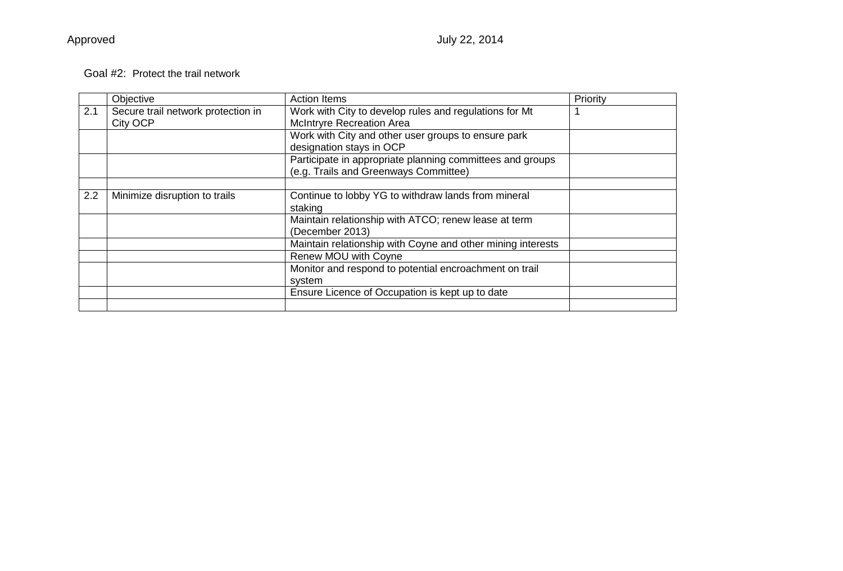## Goal #2: Protect the trail network

|     | Objective                                             | <b>Action Items</b>                                                                                | Priority |
|-----|-------------------------------------------------------|----------------------------------------------------------------------------------------------------|----------|
| 2.1 | Secure trail network protection in<br><b>City OCP</b> | Work with City to develop rules and regulations for Mt<br><b>McIntryre Recreation Area</b>         |          |
|     |                                                       | Work with City and other user groups to ensure park<br>designation stays in OCP                    |          |
|     |                                                       | Participate in appropriate planning committees and groups<br>(e.g. Trails and Greenways Committee) |          |
|     |                                                       |                                                                                                    |          |
| 2.2 | Minimize disruption to trails                         | Continue to lobby YG to withdraw lands from mineral                                                |          |
|     |                                                       | staking                                                                                            |          |
|     |                                                       | Maintain relationship with ATCO; renew lease at term                                               |          |
|     |                                                       | (December 2013)                                                                                    |          |
|     |                                                       | Maintain relationship with Coyne and other mining interests                                        |          |
|     |                                                       | Renew MOU with Coyne                                                                               |          |
|     |                                                       | Monitor and respond to potential encroachment on trail                                             |          |
|     |                                                       | system                                                                                             |          |
|     |                                                       | Ensure Licence of Occupation is kept up to date                                                    |          |
|     |                                                       |                                                                                                    |          |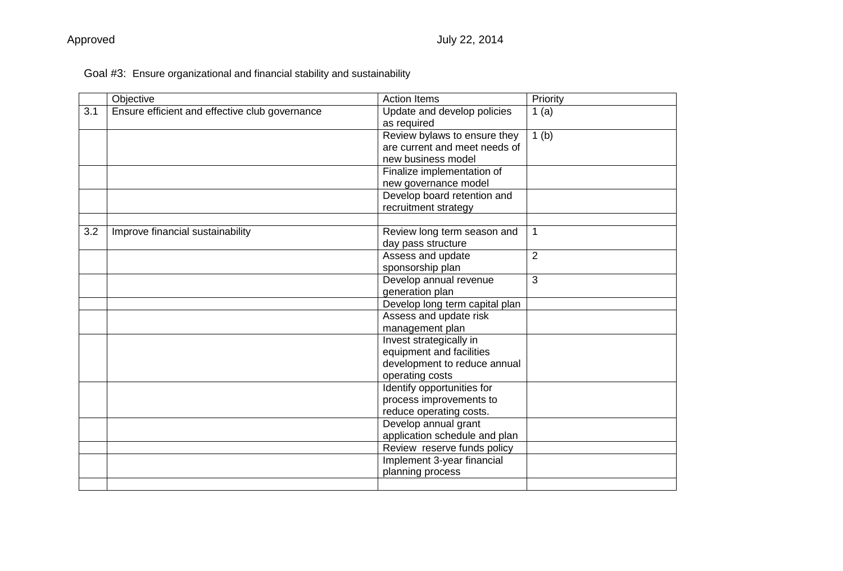# Goal #3: Ensure organizational and financial stability and sustainability

|     | Objective                                      | <b>Action Items</b>                        | Priority       |
|-----|------------------------------------------------|--------------------------------------------|----------------|
| 3.1 | Ensure efficient and effective club governance | Update and develop policies<br>as required | 1(a)           |
|     |                                                | Review bylaws to ensure they               | 1(b)           |
|     |                                                | are current and meet needs of              |                |
|     |                                                | new business model                         |                |
|     |                                                | Finalize implementation of                 |                |
|     |                                                | new governance model                       |                |
|     |                                                | Develop board retention and                |                |
|     |                                                | recruitment strategy                       |                |
|     |                                                |                                            |                |
| 3.2 | Improve financial sustainability               | Review long term season and                | $\mathbf{1}$   |
|     |                                                | day pass structure                         |                |
|     |                                                | Assess and update                          | $\overline{2}$ |
|     |                                                | sponsorship plan                           |                |
|     |                                                | Develop annual revenue                     | 3              |
|     |                                                | generation plan                            |                |
|     |                                                | Develop long term capital plan             |                |
|     |                                                | Assess and update risk                     |                |
|     |                                                | management plan                            |                |
|     |                                                | Invest strategically in                    |                |
|     |                                                | equipment and facilities                   |                |
|     |                                                | development to reduce annual               |                |
|     |                                                | operating costs                            |                |
|     |                                                | Identify opportunities for                 |                |
|     |                                                | process improvements to                    |                |
|     |                                                | reduce operating costs.                    |                |
|     |                                                | Develop annual grant                       |                |
|     |                                                | application schedule and plan              |                |
|     |                                                | Review reserve funds policy                |                |
|     |                                                | Implement 3-year financial                 |                |
|     |                                                | planning process                           |                |
|     |                                                |                                            |                |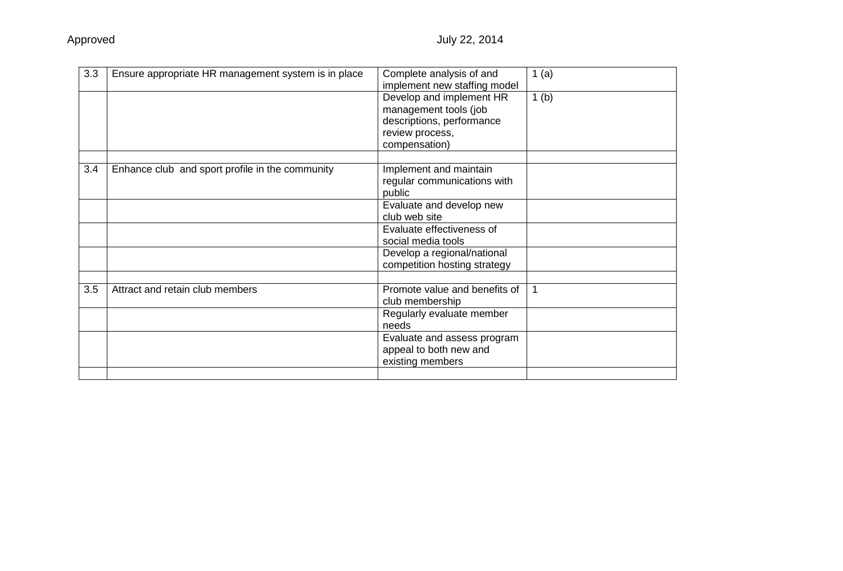| 3.3<br>Ensure appropriate HR management system is in place<br>Complete analysis of and<br>1(a)<br>implement new staffing model<br>Develop and implement HR<br>1(b)<br>management tools (job<br>descriptions, performance<br>review process,<br>compensation)<br>3.4<br>Enhance club and sport profile in the community<br>Implement and maintain<br>regular communications with<br>public<br>Evaluate and develop new<br>club web site |  |
|----------------------------------------------------------------------------------------------------------------------------------------------------------------------------------------------------------------------------------------------------------------------------------------------------------------------------------------------------------------------------------------------------------------------------------------|--|
|                                                                                                                                                                                                                                                                                                                                                                                                                                        |  |
|                                                                                                                                                                                                                                                                                                                                                                                                                                        |  |
|                                                                                                                                                                                                                                                                                                                                                                                                                                        |  |
|                                                                                                                                                                                                                                                                                                                                                                                                                                        |  |
| Evaluate effectiveness of<br>social media tools                                                                                                                                                                                                                                                                                                                                                                                        |  |
| Develop a regional/national<br>competition hosting strategy                                                                                                                                                                                                                                                                                                                                                                            |  |
| 3.5<br>Attract and retain club members<br>Promote value and benefits of<br>club membership                                                                                                                                                                                                                                                                                                                                             |  |
| Regularly evaluate member<br>needs                                                                                                                                                                                                                                                                                                                                                                                                     |  |
| Evaluate and assess program<br>appeal to both new and<br>existing members                                                                                                                                                                                                                                                                                                                                                              |  |
|                                                                                                                                                                                                                                                                                                                                                                                                                                        |  |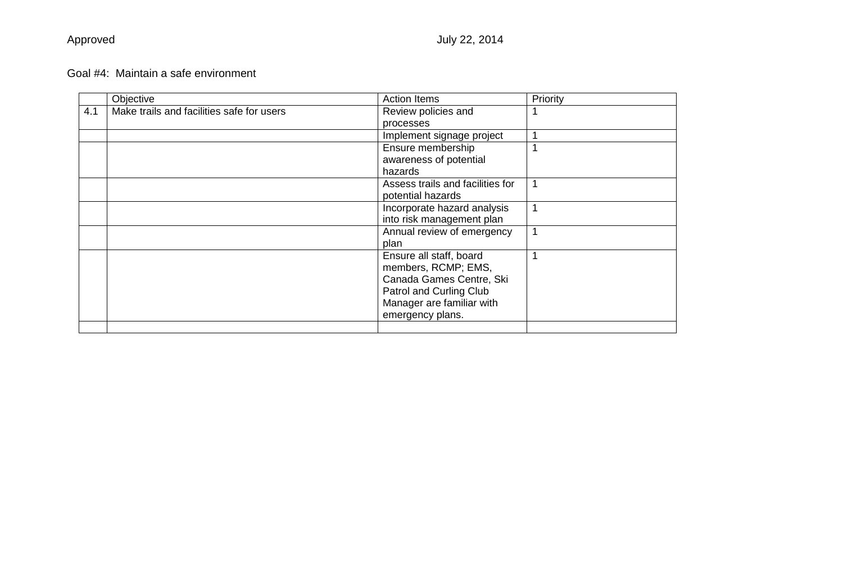## Goal #4: Maintain a safe environment

|     | Objective                                 | <b>Action Items</b>              | Priority |
|-----|-------------------------------------------|----------------------------------|----------|
| 4.1 | Make trails and facilities safe for users | Review policies and              |          |
|     |                                           | processes                        |          |
|     |                                           | Implement signage project        |          |
|     |                                           | Ensure membership                |          |
|     |                                           | awareness of potential           |          |
|     |                                           | hazards                          |          |
|     |                                           | Assess trails and facilities for | 1        |
|     |                                           | potential hazards                |          |
|     |                                           | Incorporate hazard analysis      | 1        |
|     |                                           | into risk management plan        |          |
|     |                                           | Annual review of emergency       | 1        |
|     |                                           | plan                             |          |
|     |                                           | Ensure all staff, board          |          |
|     |                                           | members, RCMP; EMS,              |          |
|     |                                           | Canada Games Centre, Ski         |          |
|     |                                           | Patrol and Curling Club          |          |
|     |                                           | Manager are familiar with        |          |
|     |                                           | emergency plans.                 |          |
|     |                                           |                                  |          |